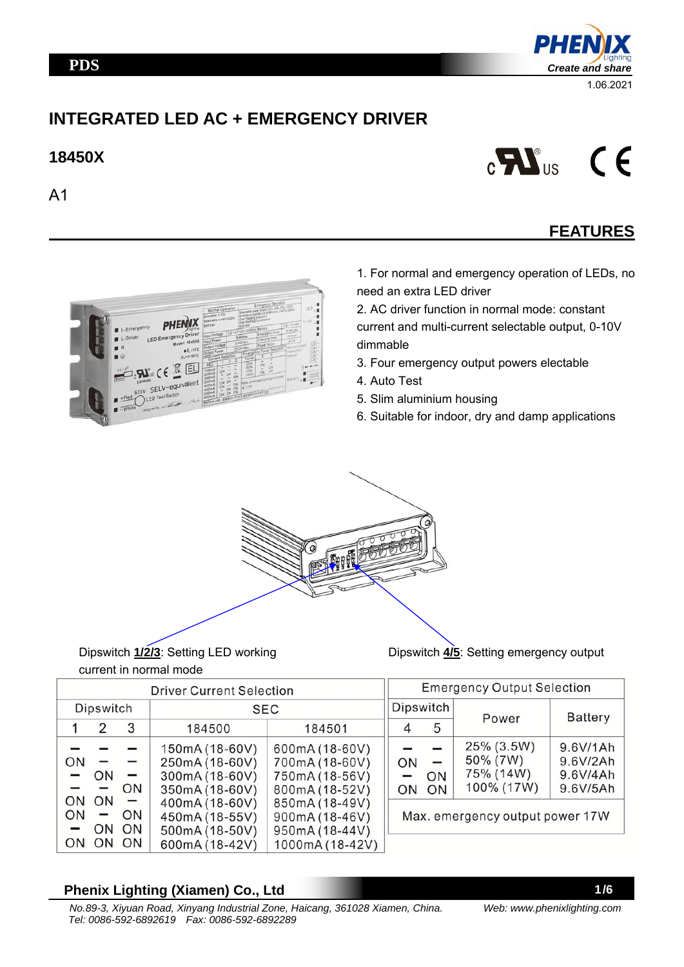### **PDS**



# **INTEGRATED LED AC + EMERGENCY DRIVER**

## **18450X**





# **FEATURES**



1. For normal and emergency operation of LEDs, no need an extra LED driver

2. AC driver function in normal mode: constant current and multi-current selectable output, 0-10V dimmable

- 3. Four emergency output powers electable
- 4. Auto Test
- 5. Slim aluminium housing
- 6. Suitable for indoor, dry and damp applications



### Dipswitch **1/2/3**: Setting LED working current in normal mode

Dipswitch **4/5**: Setting emergency output

| <b>Driver Current Selection</b> |                  |                                         |                                                                      |                                                                       | <b>Emergency Output Selection</b> |                  |                                                   |                                              |  |
|---------------------------------|------------------|-----------------------------------------|----------------------------------------------------------------------|-----------------------------------------------------------------------|-----------------------------------|------------------|---------------------------------------------------|----------------------------------------------|--|
| Dipswitch                       |                  |                                         | SEC                                                                  |                                                                       |                                   | <b>Dipswitch</b> |                                                   | <b>Battery</b>                               |  |
|                                 | 2                | 3                                       | 184500                                                               | 184501                                                                | 4                                 | 5                | Power                                             |                                              |  |
| ON<br>$\overline{\phantom{0}}$  | -<br>ON<br>-     | $\overline{\phantom{0}}$<br>ON          | 150mA (18-60V)<br>250mA (18-60V)<br>300mA (18-60V)<br>350mA (18-60V) | 600mA (18-60V)<br>700mA (18-60V)<br>750mA (18-56V)<br>800mA (18-52V)  | ON<br>-<br>ON                     | -<br>ON<br>ON    | 25% (3.5W)<br>50% (7W)<br>75% (14W)<br>100% (17W) | 9.6V/1Ah<br>9.6V/2Ah<br>9.6V/4Ah<br>9.6V/5Ah |  |
| ON.<br>ON<br>-<br>ON            | ON<br>-<br>ON ON | $\overline{\phantom{0}}$<br>ON<br>ON ON | 400mA (18-60V)<br>450mA (18-55V)<br>500mA (18-50V)<br>600mA (18-42V) | 850mA (18-49V)<br>900mA (18-46V)<br>950mA (18-44V)<br>1000mA (18-42V) | Max. emergency output power 17W   |                  |                                                   |                                              |  |

### **Phenix Lighting (Xiamen) Co., Ltd**

*Web: www.phenixlighting.com*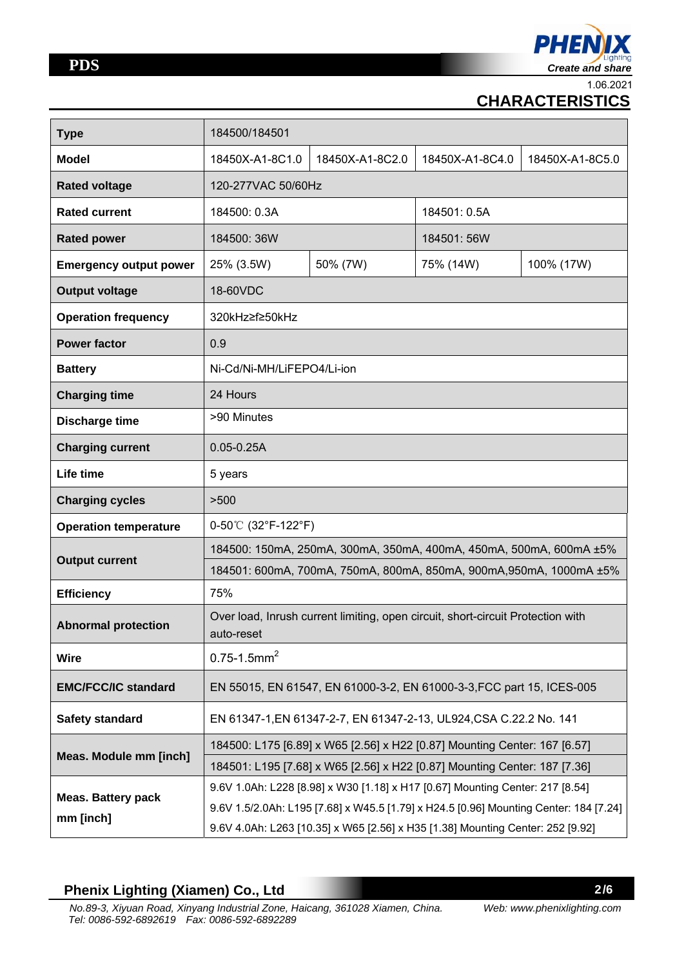

1.06.2021

# **CHARACTERISTICS**

| <b>Type</b>                   | 184500/184501                                                                                 |                 |                                                                                |                 |  |  |
|-------------------------------|-----------------------------------------------------------------------------------------------|-----------------|--------------------------------------------------------------------------------|-----------------|--|--|
| <b>Model</b>                  | 18450X-A1-8C1.0                                                                               | 18450X-A1-8C2.0 | 18450X-A1-8C4.0                                                                | 18450X-A1-8C5.0 |  |  |
| <b>Rated voltage</b>          | 120-277VAC 50/60Hz                                                                            |                 |                                                                                |                 |  |  |
| <b>Rated current</b>          | 184500: 0.3A                                                                                  |                 | 184501: 0.5A                                                                   |                 |  |  |
| <b>Rated power</b>            | 184500: 36W                                                                                   |                 | 184501: 56W                                                                    |                 |  |  |
| <b>Emergency output power</b> | 25% (3.5W)                                                                                    | 50% (7W)        | 75% (14W)                                                                      | 100% (17W)      |  |  |
| <b>Output voltage</b>         | 18-60VDC                                                                                      |                 |                                                                                |                 |  |  |
| <b>Operation frequency</b>    | 320kHz≥f≥50kHz                                                                                |                 |                                                                                |                 |  |  |
| <b>Power factor</b>           | 0.9                                                                                           |                 |                                                                                |                 |  |  |
| <b>Battery</b>                | Ni-Cd/Ni-MH/LiFEPO4/Li-ion                                                                    |                 |                                                                                |                 |  |  |
| <b>Charging time</b>          | 24 Hours                                                                                      |                 |                                                                                |                 |  |  |
| <b>Discharge time</b>         | >90 Minutes                                                                                   |                 |                                                                                |                 |  |  |
| <b>Charging current</b>       | $0.05 - 0.25A$                                                                                |                 |                                                                                |                 |  |  |
| Life time                     | 5 years                                                                                       |                 |                                                                                |                 |  |  |
| <b>Charging cycles</b>        | >500                                                                                          |                 |                                                                                |                 |  |  |
| <b>Operation temperature</b>  | 0-50℃ (32°F-122°F)                                                                            |                 |                                                                                |                 |  |  |
| <b>Output current</b>         | 184500: 150mA, 250mA, 300mA, 350mA, 400mA, 450mA, 500mA, 600mA ±5%                            |                 |                                                                                |                 |  |  |
|                               | 184501: 600mA, 700mA, 750mA, 800mA, 850mA, 900mA, 950mA, 1000mA ±5%                           |                 |                                                                                |                 |  |  |
| <b>Efficiency</b>             | 75%                                                                                           |                 |                                                                                |                 |  |  |
| <b>Abnormal protection</b>    | Over load, Inrush current limiting, open circuit, short-circuit Protection with<br>auto-reset |                 |                                                                                |                 |  |  |
| <b>Wire</b>                   | $0.75 - 1.5$ mm <sup>2</sup>                                                                  |                 |                                                                                |                 |  |  |
| <b>EMC/FCC/IC standard</b>    | EN 55015, EN 61547, EN 61000-3-2, EN 61000-3-3, FCC part 15, ICES-005                         |                 |                                                                                |                 |  |  |
| Safety standard               | EN 61347-1, EN 61347-2-7, EN 61347-2-13, UL924, CSA C.22.2 No. 141                            |                 |                                                                                |                 |  |  |
| Meas. Module mm [inch]        | 184500: L175 [6.89] x W65 [2.56] x H22 [0.87] Mounting Center: 167 [6.57]                     |                 |                                                                                |                 |  |  |
|                               | 184501: L195 [7.68] x W65 [2.56] x H22 [0.87] Mounting Center: 187 [7.36]                     |                 |                                                                                |                 |  |  |
| <b>Meas. Battery pack</b>     | 9.6V 1.0Ah: L228 [8.98] x W30 [1.18] x H17 [0.67] Mounting Center: 217 [8.54]                 |                 |                                                                                |                 |  |  |
| mm [inch]                     | 9.6V 1.5/2.0Ah: L195 [7.68] x W45.5 [1.79] x H24.5 [0.96] Mounting Center: 184 [7.24]         |                 |                                                                                |                 |  |  |
|                               |                                                                                               |                 | 9.6V 4.0Ah: L263 [10.35] x W65 [2.56] x H35 [1.38] Mounting Center: 252 [9.92] |                 |  |  |

## **Phenix Lighting (Xiamen) Co., Ltd**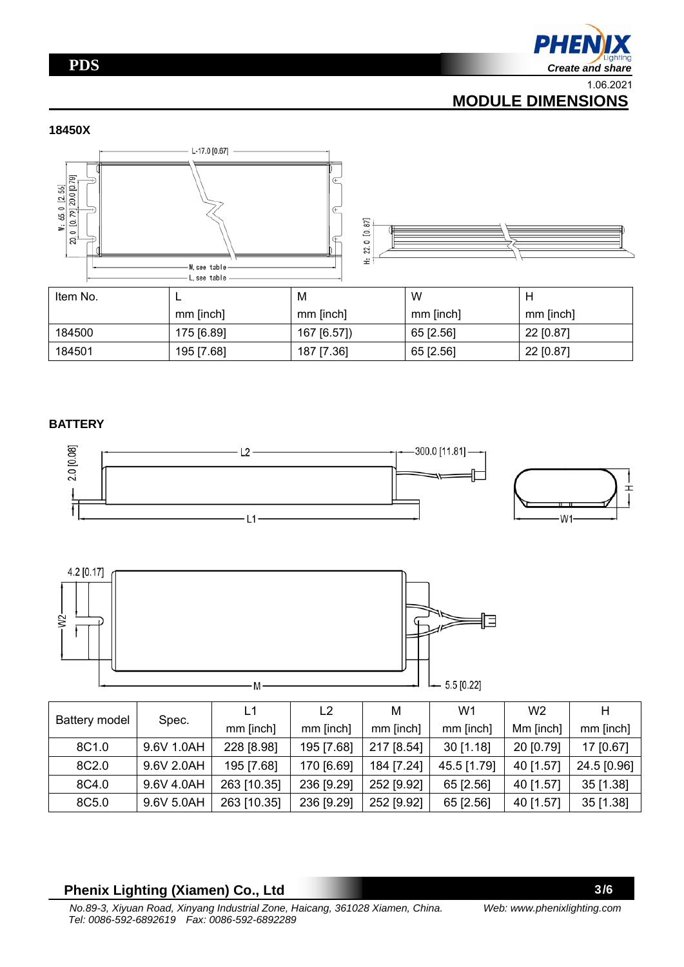## **PDS**



1.06.2021

# **MODULE DIMENSIONS**

#### **18450X**





| Item No. |            | M           | W         | Н         |
|----------|------------|-------------|-----------|-----------|
|          | mm [inch]  | mm [inch]   | mm [inch] | mm [inch] |
| 184500   | 175 [6.89] | 167 [6.57]) | 65 [2.56] | 22 [0.87] |
| 184501   | 195 [7.68] | 187 [7.36]  | 65 [2.56] | 22 [0.87] |

#### **BATTERY**





|                   | Spec.      | L1          | L2         | M          | W <sub>1</sub> | W <sub>2</sub> | н           |
|-------------------|------------|-------------|------------|------------|----------------|----------------|-------------|
| Battery model     |            | mm [inch]   | mm [inch]  | mm [inch]  | mm [inch]      | Mm [inch]      | mm [inch]   |
| 8C <sub>1.0</sub> | 9.6V 1.0AH | 228 [8.98]  | 195 [7.68] | 217 [8.54] | $30$ [1.18]    | 20 [0.79]      | 17 [0.67]   |
| 8C2.0             | 9.6V 2.0AH | 195 [7.68]  | 170 [6.69] | 184 [7.24] | 45.5 [1.79]    | 40 [1.57]      | 24.5 [0.96] |
| 8C4.0             | 9.6V 4.0AH | 263 [10.35] | 236 [9.29] | 252 [9.92] | 65 [2.56]      | 40 [1.57]      | 35 [1.38]   |
| 8C5.0             | 9.6V 5.0AH | 263 [10.35] | 236 [9.29] | 252 [9.92] | 65 [2.56]      | 40 [1.57]      | 35 [1.38]   |

### **Phenix Lighting (Xiamen) Co., Ltd**

*Web: www.phenixlighting.com*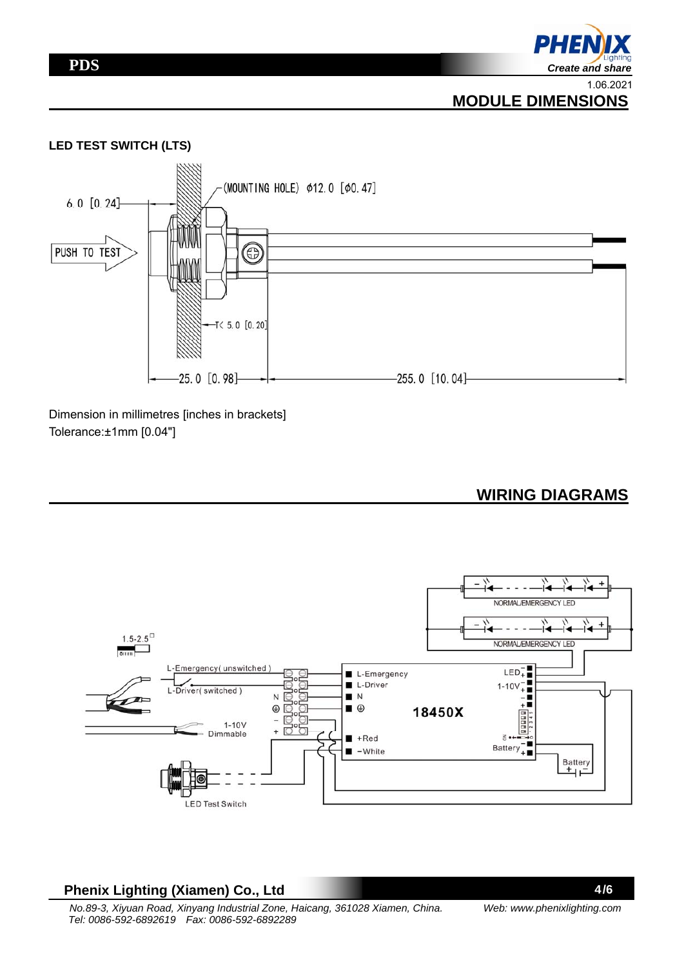

 **MODULE DIMENSIONS**

#### **LED TEST SWITCH (LTS)**



Dimension in millimetres [inches in brackets] Tolerance:±1mm [0.04"]

 **WIRING DIAGRAMS**



#### **Phenix Lighting (Xiamen) Co., Ltd**

4/6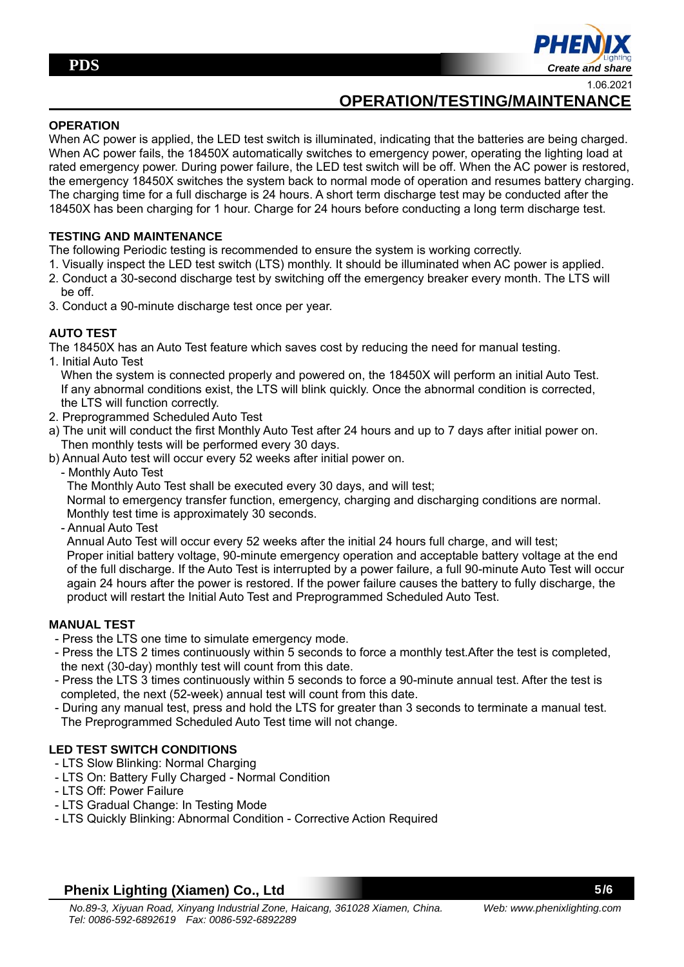

1.06.2021

# **OPERATION/TESTING/MAINTENANCE**

#### **OPERATION**

When AC power is applied, the LED test switch is illuminated, indicating that the batteries are being charged. When AC power fails, the 18450X automatically switches to emergency power, operating the lighting load at rated emergency power. During power failure, the LED test switch will be off. When the AC power is restored, the emergency 18450X switches the system back to normal mode of operation and resumes battery charging. The charging time for a full discharge is 24 hours. A short term discharge test may be conducted after the 18450X has been charging for 1 hour. Charge for 24 hours before conducting a long term discharge test.

#### **TESTING AND MAINTENANCE**

The following Periodic testing is recommended to ensure the system is working correctly.

- 1. Visually inspect the LED test switch (LTS) monthly. It should be illuminated when AC power is applied.
- 2. Conduct a 30-second discharge test by switching off the emergency breaker every month. The LTS will be off.
- 3. Conduct a 90-minute discharge test once per year.

#### **AUTO TEST**

The 18450X has an Auto Test feature which saves cost by reducing the need for manual testing.

1. Initial Auto Test

 When the system is connected properly and powered on, the 18450X will perform an initial Auto Test. If any abnormal conditions exist, the LTS will blink quickly. Once the abnormal condition is corrected, the LTS will function correctly.

- 2. Preprogrammed Scheduled Auto Test
- a) The unit will conduct the first Monthly Auto Test after 24 hours and up to 7 days after initial power on. Then monthly tests will be performed every 30 days.
- b) Annual Auto test will occur every 52 weeks after initial power on.
	- Monthly Auto Test

The Monthly Auto Test shall be executed every 30 days, and will test;

 Normal to emergency transfer function, emergency, charging and discharging conditions are normal. Monthly test time is approximately 30 seconds.

- Annual Auto Test

 Annual Auto Test will occur every 52 weeks after the initial 24 hours full charge, and will test; Proper initial battery voltage, 90-minute emergency operation and acceptable battery voltage at the end of the full discharge. If the Auto Test is interrupted by a power failure, a full 90-minute Auto Test will occur again 24 hours after the power is restored. If the power failure causes the battery to fully discharge, the product will restart the Initial Auto Test and Preprogrammed Scheduled Auto Test.

#### **MANUAL TEST**

- Press the LTS one time to simulate emergency mode.
- Press the LTS 2 times continuously within 5 seconds to force a monthly test.After the test is completed, the next (30-day) monthly test will count from this date.
- Press the LTS 3 times continuously within 5 seconds to force a 90-minute annual test. After the test is completed, the next (52-week) annual test will count from this date.
- During any manual test, press and hold the LTS for greater than 3 seconds to terminate a manual test. The Preprogrammed Scheduled Auto Test time will not change.

#### **LED TEST SWITCH CONDITIONS**

- LTS Slow Blinking: Normal Charging
- LTS On: Battery Fully Charged Normal Condition
- LTS Off: Power Failure
- LTS Gradual Change: In Testing Mode
- LTS Quickly Blinking: Abnormal Condition Corrective Action Required

#### **Phenix Lighting (Xiamen) Co., Ltd**